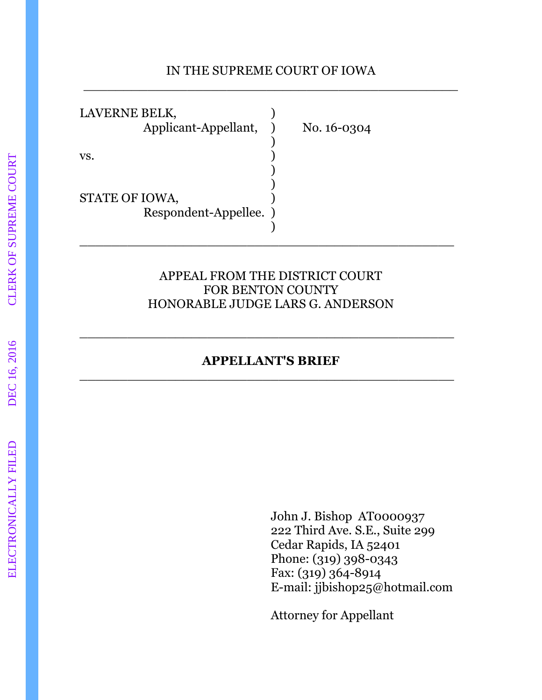#### IN THE SUPREME COURT OF IOWA \_\_\_\_\_\_\_\_\_\_\_\_\_\_\_\_\_\_\_\_\_\_\_\_\_\_\_\_\_\_\_\_\_\_\_\_\_\_\_\_\_\_\_\_\_\_\_

LAVERNE BELK, Applicant-Appellant, No. 16-0304  $)$  $\mathbf{v}\mathbf{s}$ .  $\qquad \qquad$  ) ) and the contract of  $\mathcal{L}$  $)$ STATE OF IOWA,

 $)$ 

Respondent-Appellee. )

#### APPEAL FROM THE DISTRICT COURT FOR BENTON COUNTY HONORABLE JUDGE LARS G. ANDERSON

\_\_\_\_\_\_\_\_\_\_\_\_\_\_\_\_\_\_\_\_\_\_\_\_\_\_\_\_\_\_\_\_\_\_\_\_\_\_\_\_\_\_\_\_\_\_\_

#### **APPELLANT'S BRIEF** \_\_\_\_\_\_\_\_\_\_\_\_\_\_\_\_\_\_\_\_\_\_\_\_\_\_\_\_\_\_\_\_\_\_\_\_\_\_\_\_\_\_\_\_\_\_\_

\_\_\_\_\_\_\_\_\_\_\_\_\_\_\_\_\_\_\_\_\_\_\_\_\_\_\_\_\_\_\_\_\_\_\_\_\_\_\_\_\_\_\_\_\_\_\_

 John J. Bishop AT0000937 222 Third Ave. S.E., Suite 299 Cedar Rapids, IA 52401 Phone: (319) 398-0343 Fax: (319) 364-8914 E-mail: jjbishop25@hotmail.com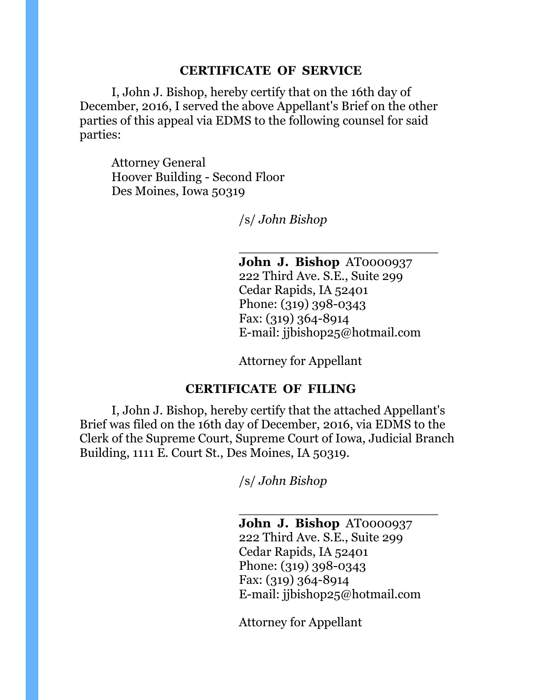#### **CERTIFICATE OF SERVICE**

 I, John J. Bishop, hereby certify that on the 16th day of December, 2016, I served the above Appellant's Brief on the other parties of this appeal via EDMS to the following counsel for said parties:

 $\frac{1}{\sqrt{2}}$  , and the set of the set of the set of the set of the set of the set of the set of the set of the set of the set of the set of the set of the set of the set of the set of the set of the set of the set of the

 Attorney General Hoover Building - Second Floor Des Moines, Iowa 50319

/s/ *John Bishop* 

 **John J. Bishop** AT0000937 222 Third Ave. S.E., Suite 299 Cedar Rapids, IA 52401 Phone: (319) 398-0343 Fax: (319) 364-8914 E-mail: jjbishop25@hotmail.com

Attorney for Appellant

#### **CERTIFICATE OF FILING**

 I, John J. Bishop, hereby certify that the attached Appellant's Brief was filed on the 16th day of December, 2016, via EDMS to the Clerk of the Supreme Court, Supreme Court of Iowa, Judicial Branch Building, 1111 E. Court St., Des Moines, IA 50319.

 $\frac{1}{\sqrt{2}}$  , and the set of the set of the set of the set of the set of the set of the set of the set of the set of the set of the set of the set of the set of the set of the set of the set of the set of the set of the

/s/ *John Bishop* 

 **John J. Bishop** AT0000937 222 Third Ave. S.E., Suite 299 Cedar Rapids, IA 52401 Phone: (319) 398-0343 Fax: (319) 364-8914 E-mail: jjbishop25@hotmail.com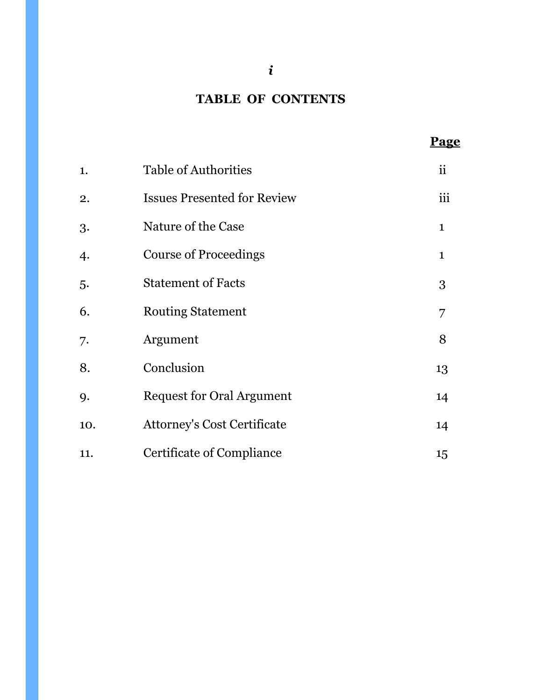## **TABLE OF CONTENTS**

**Page Page** 

| 1.  | <b>Table of Authorities</b>        | ii           |
|-----|------------------------------------|--------------|
| 2.  | <b>Issues Presented for Review</b> | iii          |
| 3.  | Nature of the Case                 | $\mathbf{1}$ |
| 4.  | <b>Course of Proceedings</b>       | $\mathbf{1}$ |
| 5.  | <b>Statement of Facts</b>          | 3            |
| 6.  | <b>Routing Statement</b>           | 7            |
| 7.  | Argument                           | 8            |
| 8.  | Conclusion                         | 13           |
| 9.  | <b>Request for Oral Argument</b>   | 14           |
| 10. | <b>Attorney's Cost Certificate</b> | 14           |
| 11. | Certificate of Compliance          | 15           |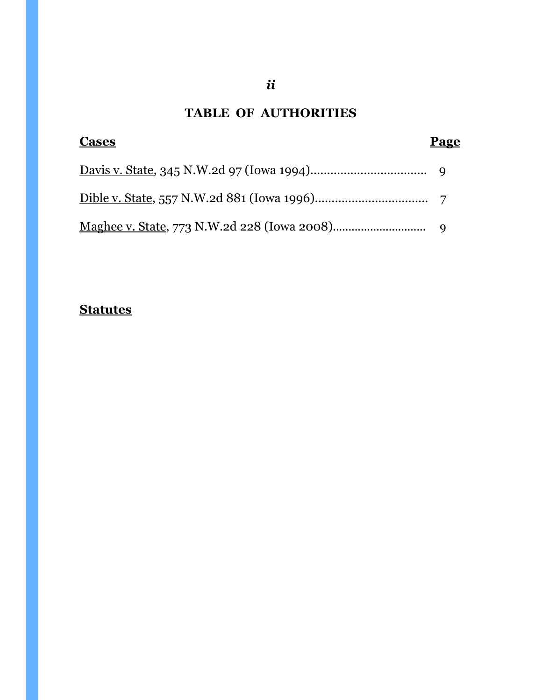# **TABLE OF AUTHORITIES**

| <b>Cases</b>                                            | Page |
|---------------------------------------------------------|------|
|                                                         |      |
|                                                         |      |
| <u>Maghee v. State, 773</u> N.W.2d 228 (Iowa 2008)    9 |      |

# **Statutes**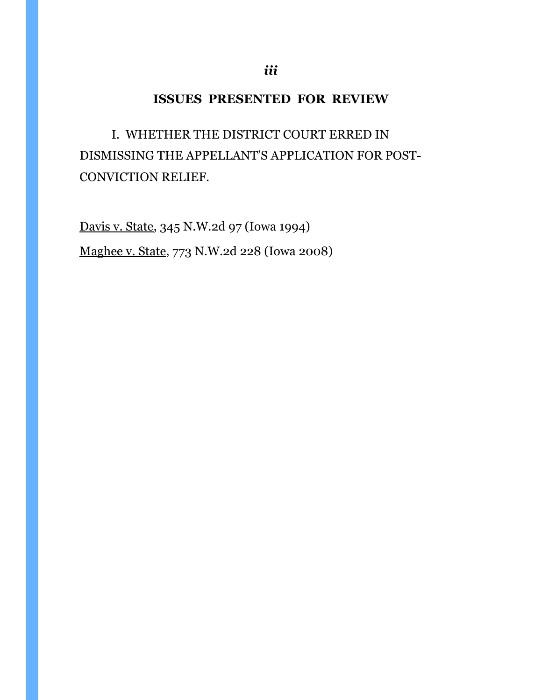## **ISSUES PRESENTED FOR REVIEW**

 I. WHETHER THE DISTRICT COURT ERRED IN DISMISSING THE APPELLANT'S APPLICATION FOR POST-CONVICTION RELIEF.

Davis v. State, 345 N.W.2d 97 (Iowa 1994) Maghee v. State, 773 N.W.2d 228 (Iowa 2008)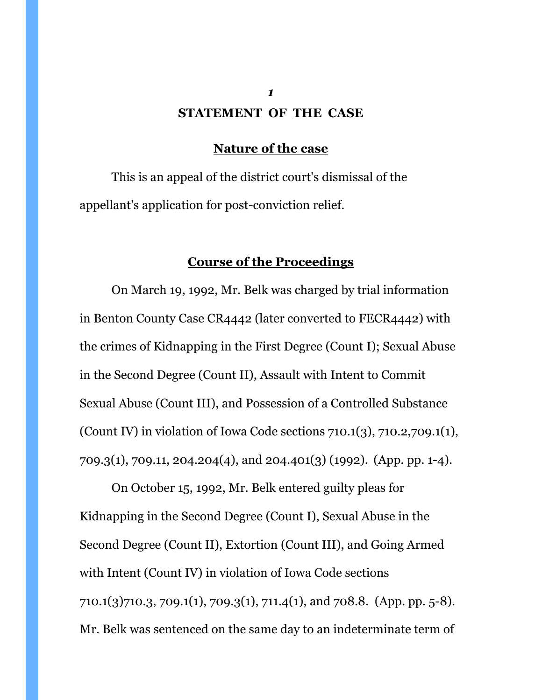# *1* **STATEMENT OF THE CASE**

#### **Nature of the case**

 This is an appeal of the district court's dismissal of the appellant's application for post-conviction relief.

## **Course of the Proceedings**

On March 19, 1992, Mr. Belk was charged by trial information in Benton County Case CR4442 (later converted to FECR4442) with the crimes of Kidnapping in the First Degree (Count I); Sexual Abuse in the Second Degree (Count II), Assault with Intent to Commit Sexual Abuse (Count III), and Possession of a Controlled Substance (Count IV) in violation of Iowa Code sections 710.1(3), 710.2,709.1(1), 709.3(1), 709.11, 204.204(4), and 204.401(3) (1992). (App. pp. 1-4).

On October 15, 1992, Mr. Belk entered guilty pleas for Kidnapping in the Second Degree (Count I), Sexual Abuse in the Second Degree (Count II), Extortion (Count III), and Going Armed with Intent (Count IV) in violation of Iowa Code sections 710.1(3)710.3, 709.1(1), 709.3(1), 711.4(1), and 708.8. (App. pp. 5-8). Mr. Belk was sentenced on the same day to an indeterminate term of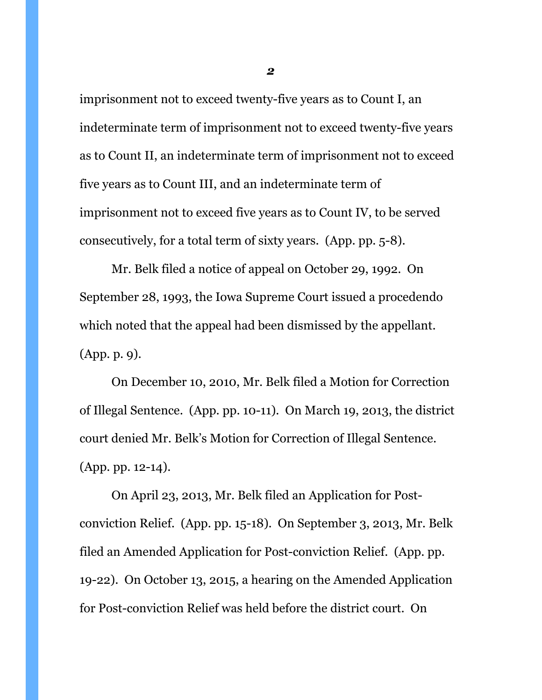imprisonment not to exceed twenty-five years as to Count I, an indeterminate term of imprisonment not to exceed twenty-five years as to Count II, an indeterminate term of imprisonment not to exceed five years as to Count III, and an indeterminate term of imprisonment not to exceed five years as to Count IV, to be served consecutively, for a total term of sixty years. (App. pp. 5-8).

 Mr. Belk filed a notice of appeal on October 29, 1992. On September 28, 1993, the Iowa Supreme Court issued a procedendo which noted that the appeal had been dismissed by the appellant. (App. p. 9).

 On December 10, 2010, Mr. Belk filed a Motion for Correction of Illegal Sentence. (App. pp. 10-11). On March 19, 2013, the district court denied Mr. Belk's Motion for Correction of Illegal Sentence. (App. pp. 12-14).

 On April 23, 2013, Mr. Belk filed an Application for Postconviction Relief. (App. pp. 15-18). On September 3, 2013, Mr. Belk filed an Amended Application for Post-conviction Relief. (App. pp. 19-22). On October 13, 2015, a hearing on the Amended Application for Post-conviction Relief was held before the district court. On

*2*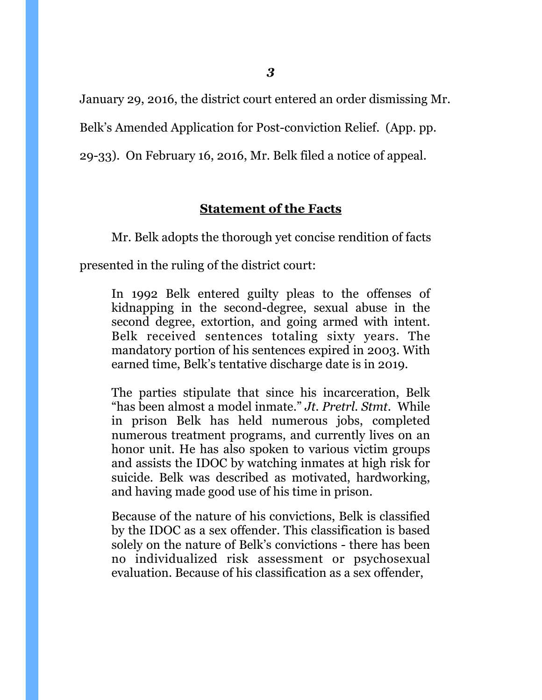January 29, 2016, the district court entered an order dismissing Mr.

Belk's Amended Application for Post-conviction Relief. (App. pp.

29-33). On February 16, 2016, Mr. Belk filed a notice of appeal.

## **Statement of the Facts**

Mr. Belk adopts the thorough yet concise rendition of facts

presented in the ruling of the district court:

In 1992 Belk entered guilty pleas to the offenses of kidnapping in the second-degree, sexual abuse in the second degree, extortion, and going armed with intent. Belk received sentences totaling sixty years. The mandatory portion of his sentences expired in 2003. With earned time, Belk's tentative discharge date is in 2019.

The parties stipulate that since his incarceration, Belk "has been almost a model inmate." *Jt. Pretrl. Stmt*. While in prison Belk has held numerous jobs, completed numerous treatment programs, and currently lives on an honor unit. He has also spoken to various victim groups and assists the IDOC by watching inmates at high risk for suicide. Belk was described as motivated, hardworking, and having made good use of his time in prison.

Because of the nature of his convictions, Belk is classified by the IDOC as a sex offender. This classification is based solely on the nature of Belk's convictions - there has been no individualized risk assessment or psychosexual evaluation. Because of his classification as a sex offender,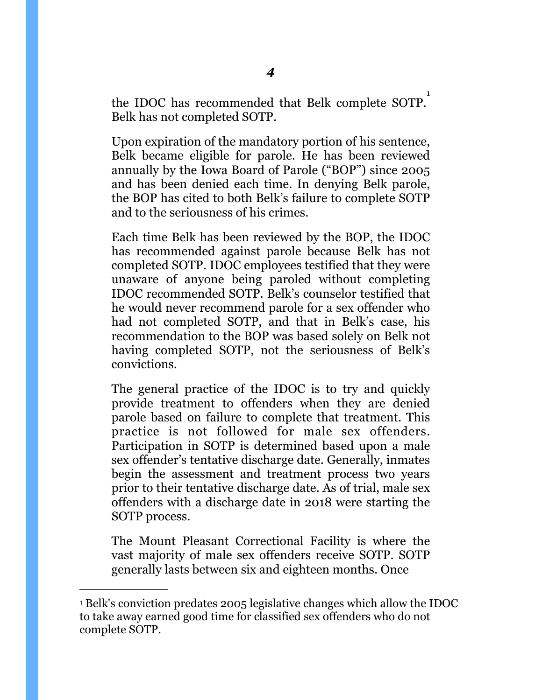the IDOC has recommended that Belk complete SOTP. [1](#page-8-0) Belk has not completed SOTP.

Upon expiration of the mandatory portion of his sentence, Belk became eligible for parole. He has been reviewed annually by the Iowa Board of Parole ("BOP") since 2005 and has been denied each time. In denying Belk parole, the BOP has cited to both Belk's failure to complete SOTP and to the seriousness of his crimes.

Each time Belk has been reviewed by the BOP, the IDOC has recommended against parole because Belk has not completed SOTP. IDOC employees testified that they were unaware of anyone being paroled without completing IDOC recommended SOTP. Belk's counselor testified that he would never recommend parole for a sex offender who had not completed SOTP, and that in Belk's case, his recommendation to the BOP was based solely on Belk not having completed SOTP, not the seriousness of Belk's convictions.

The general practice of the IDOC is to try and quickly provide treatment to offenders when they are denied parole based on failure to complete that treatment. This practice is not followed for male sex offenders. Participation in SOTP is determined based upon a male sex offender's tentative discharge date. Generally, inmates begin the assessment and treatment process two years prior to their tentative discharge date. As of trial, male sex offenders with a discharge date in 2018 were starting the SOTP process.

The Mount Pleasant Correctional Facility is where the vast majority of male sex offenders receive SOTP. SOTP generally lasts between six and eighteen months. Once

<span id="page-8-0"></span><sup>1</sup> Belk's conviction predates 2005 legislative changes which allow the IDOC to take away earned good time for classified sex offenders who do not complete SOTP.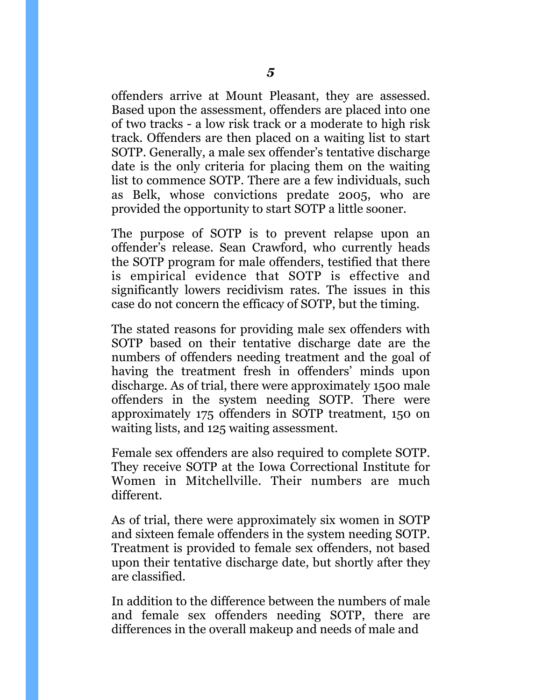offenders arrive at Mount Pleasant, they are assessed. Based upon the assessment, offenders are placed into one of two tracks - a low risk track or a moderate to high risk track. Offenders are then placed on a waiting list to start SOTP. Generally, a male sex offender's tentative discharge date is the only criteria for placing them on the waiting list to commence SOTP. There are a few individuals, such as Belk, whose convictions predate 2005, who are provided the opportunity to start SOTP a little sooner.

The purpose of SOTP is to prevent relapse upon an offender's release. Sean Crawford, who currently heads the SOTP program for male offenders, testified that there is empirical evidence that SOTP is effective and significantly lowers recidivism rates. The issues in this case do not concern the efficacy of SOTP, but the timing.

The stated reasons for providing male sex offenders with SOTP based on their tentative discharge date are the numbers of offenders needing treatment and the goal of having the treatment fresh in offenders' minds upon discharge. As of trial, there were approximately 1500 male offenders in the system needing SOTP. There were approximately 175 offenders in SOTP treatment, 150 on waiting lists, and 125 waiting assessment.

Female sex offenders are also required to complete SOTP. They receive SOTP at the Iowa Correctional Institute for Women in Mitchellville. Their numbers are much different.

As of trial, there were approximately six women in SOTP and sixteen female offenders in the system needing SOTP. Treatment is provided to female sex offenders, not based upon their tentative discharge date, but shortly after they are classified.

In addition to the difference between the numbers of male and female sex offenders needing SOTP, there are differences in the overall makeup and needs of male and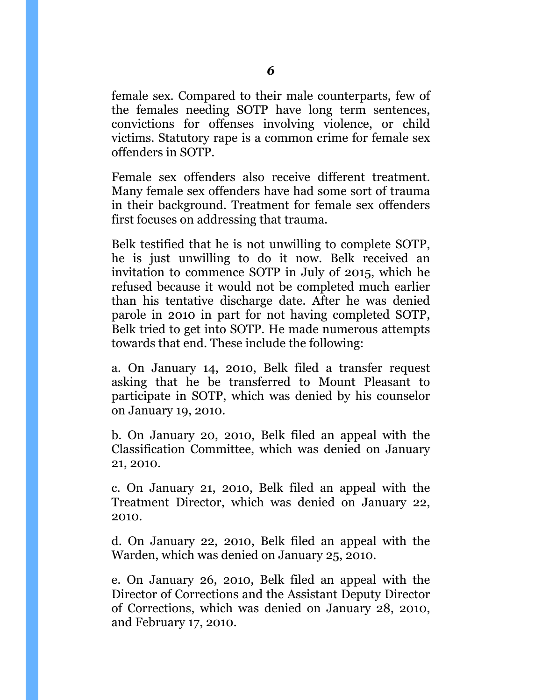female sex. Compared to their male counterparts, few of the females needing SOTP have long term sentences, convictions for offenses involving violence, or child victims. Statutory rape is a common crime for female sex offenders in SOTP.

Female sex offenders also receive different treatment. Many female sex offenders have had some sort of trauma in their background. Treatment for female sex offenders first focuses on addressing that trauma.

Belk testified that he is not unwilling to complete SOTP, he is just unwilling to do it now. Belk received an invitation to commence SOTP in July of 2015, which he refused because it would not be completed much earlier than his tentative discharge date. After he was denied parole in 2010 in part for not having completed SOTP, Belk tried to get into SOTP. He made numerous attempts towards that end. These include the following:

a. On January 14, 2010, Belk filed a transfer request asking that he be transferred to Mount Pleasant to participate in SOTP, which was denied by his counselor on January 19, 2010.

b. On January 20, 2010, Belk filed an appeal with the Classification Committee, which was denied on January 21, 2010.

c. On January 21, 2010, Belk filed an appeal with the Treatment Director, which was denied on January 22, 2010.

d. On January 22, 2010, Belk filed an appeal with the Warden, which was denied on January 25, 2010.

e. On January 26, 2010, Belk filed an appeal with the Director of Corrections and the Assistant Deputy Director of Corrections, which was denied on January 28, 2010, and February 17, 2010.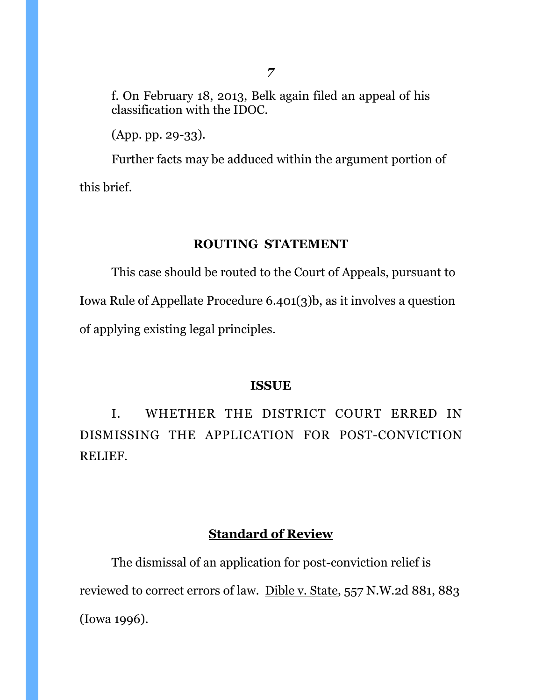f. On February 18, 2013, Belk again filed an appeal of his classification with the IDOC.

(App. pp. 29-33).

Further facts may be adduced within the argument portion of this brief.

#### **ROUTING STATEMENT**

This case should be routed to the Court of Appeals, pursuant to Iowa Rule of Appellate Procedure 6.401(3)b, as it involves a question of applying existing legal principles.

#### **ISSUE**

 I. WHETHER THE DISTRICT COURT ERRED IN DISMISSING THE APPLICATION FOR POST-CONVICTION RELIEF.

## **Standard of Review**

The dismissal of an application for post-conviction relief is reviewed to correct errors of law. [Dible v. State, 557 N.W.2d 881, 883](https://apps.fastcase.com/Research/Pages/Document.aspx?LTID=FfBijWYCcPZUktvmXkV10axzqnQul3FF7v8WceeNc4Es1rRqurQtJV%2fJ0Vp6LKxNlYLEo449Iw%2bH951N7xXMPvkrdpuM4ov6g2w%2f3deIA13vjKQ1rWguft7o5e2tJlo8%2b603af%2fjIetNNG1SF8%2f37Q%3d%3d&ECF=Dible+v.+State%2c+557+N.W.2d+881%2c+883+(Iowa+1996))  [\(Iowa 1996\).](https://apps.fastcase.com/Research/Pages/Document.aspx?LTID=FfBijWYCcPZUktvmXkV10axzqnQul3FF7v8WceeNc4Es1rRqurQtJV%2fJ0Vp6LKxNlYLEo449Iw%2bH951N7xXMPvkrdpuM4ov6g2w%2f3deIA13vjKQ1rWguft7o5e2tJlo8%2b603af%2fjIetNNG1SF8%2f37Q%3d%3d&ECF=Dible+v.+State%2c+557+N.W.2d+881%2c+883+(Iowa+1996))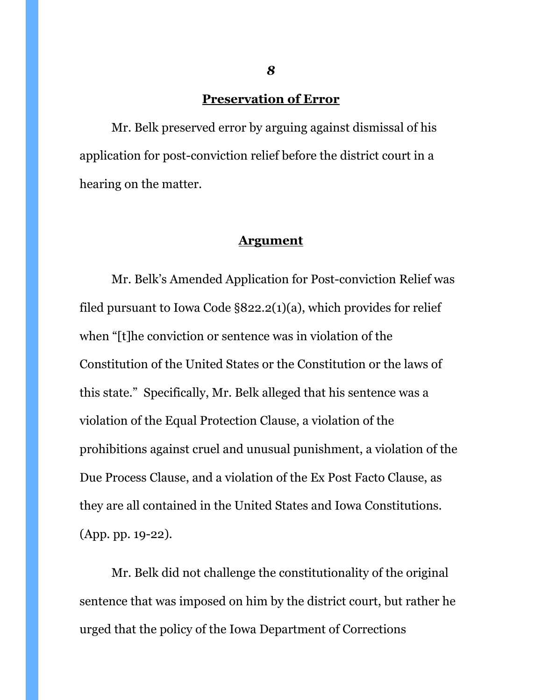## **Preservation of Error**

 Mr. Belk preserved error by arguing against dismissal of his application for post-conviction relief before the district court in a hearing on the matter.

#### **Argument**

Mr. Belk's Amended Application for Post-conviction Relief was filed pursuant to Iowa Code §822.2(1)(a), which provides for relief when "[t]he conviction or sentence was in violation of the Constitution of the United States or the Constitution or the laws of this state." Specifically, Mr. Belk alleged that his sentence was a violation of the Equal Protection Clause, a violation of the prohibitions against cruel and unusual punishment, a violation of the Due Process Clause, and a violation of the Ex Post Facto Clause, as they are all contained in the United States and Iowa Constitutions. (App. pp. 19-22).

 Mr. Belk did not challenge the constitutionality of the original sentence that was imposed on him by the district court, but rather he urged that the policy of the Iowa Department of Corrections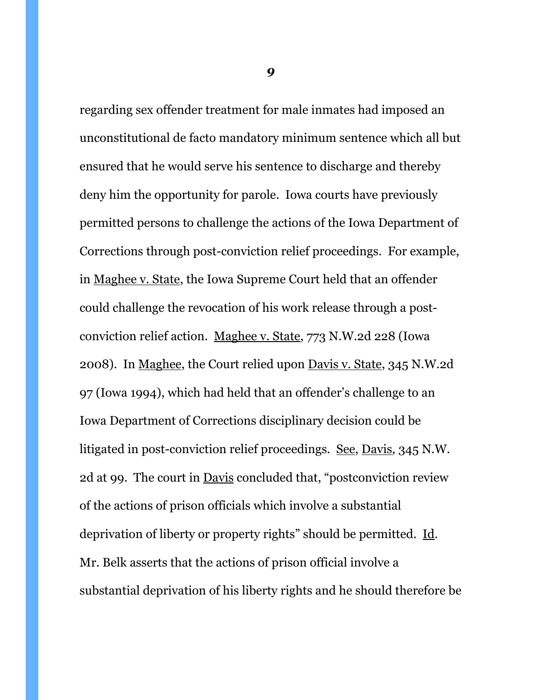regarding sex offender treatment for male inmates had imposed an unconstitutional de facto mandatory minimum sentence which all but ensured that he would serve his sentence to discharge and thereby deny him the opportunity for parole. Iowa courts have previously permitted persons to challenge the actions of the Iowa Department of Corrections through post-conviction relief proceedings. For example, in Maghee v. State, the Iowa Supreme Court held that an offender could challenge the revocation of his work release through a postconviction relief action. Maghee v. State, 773 N.W.2d 228 (Iowa 2008). In Maghee, the Court relied upon Davis v. State, 345 N.W.2d 97 (Iowa 1994), which had held that an offender's challenge to an Iowa Department of Corrections disciplinary decision could be litigated in post-conviction relief proceedings. See, Davis*,* 345 N.W. 2d at 99. The court in Davis concluded that, "postconviction review of the actions of prison officials which involve a substantial deprivation of liberty or property rights" should be permitted. Id. Mr. Belk asserts that the actions of prison official involve a substantial deprivation of his liberty rights and he should therefore be

*9*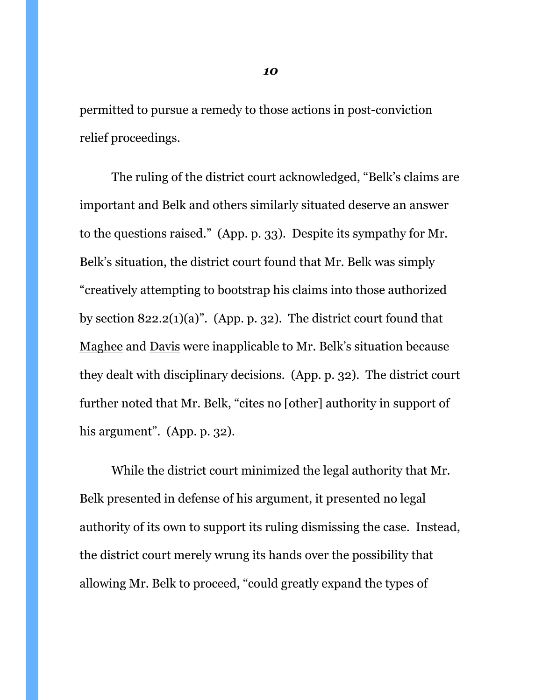permitted to pursue a remedy to those actions in post-conviction relief proceedings.

 The ruling of the district court acknowledged, "Belk's claims are important and Belk and others similarly situated deserve an answer to the questions raised." (App. p. 33). Despite its sympathy for Mr. Belk's situation, the district court found that Mr. Belk was simply "creatively attempting to bootstrap his claims into those authorized by section 822.2(1)(a)". (App. p. 32). The district court found that Maghee and Davis were inapplicable to Mr. Belk's situation because they dealt with disciplinary decisions. (App. p. 32). The district court further noted that Mr. Belk, "cites no [other] authority in support of his argument". (App. p. 32).

 While the district court minimized the legal authority that Mr. Belk presented in defense of his argument, it presented no legal authority of its own to support its ruling dismissing the case. Instead, the district court merely wrung its hands over the possibility that allowing Mr. Belk to proceed, "could greatly expand the types of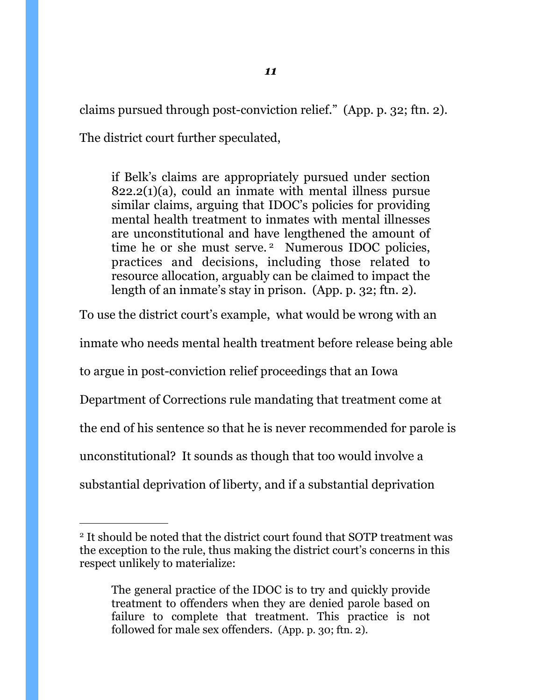claims pursued through post-conviction relief." (App. p. 32; ftn. 2).

The district court further speculated,

if Belk's claims are appropriately pursued under section  $822.2(1)(a)$ , could an inmate with mental illness pursue similar claims, arguing that IDOC's policies for providing mental health treatment to inmates with mental illnesses are unconstitutional and have lengthened the amount of time he or she must serve.<sup>2</sup> Numerous IDOC policies, practices and decisions, including those related to resource allocation, arguably can be claimed to impact the length of an inmate's stay in prison. (App. p. 32; ftn. 2).

To use the district court's example, what would be wrong with an inmate who needs mental health treatment before release being able to argue in post-conviction relief proceedings that an Iowa Department of Corrections rule mandating that treatment come at the end of his sentence so that he is never recommended for parole is unconstitutional? It sounds as though that too would involve a substantial deprivation of liberty, and if a substantial deprivation

<span id="page-15-0"></span><sup>&</sup>lt;sup>2</sup> It should be noted that the district court found that SOTP treatment was the exception to the rule, thus making the district court's concerns in this respect unlikely to materialize:

The general practice of the IDOC is to try and quickly provide treatment to offenders when they are denied parole based on failure to complete that treatment. This practice is not followed for male sex offenders. (App. p. 30; ftn. 2).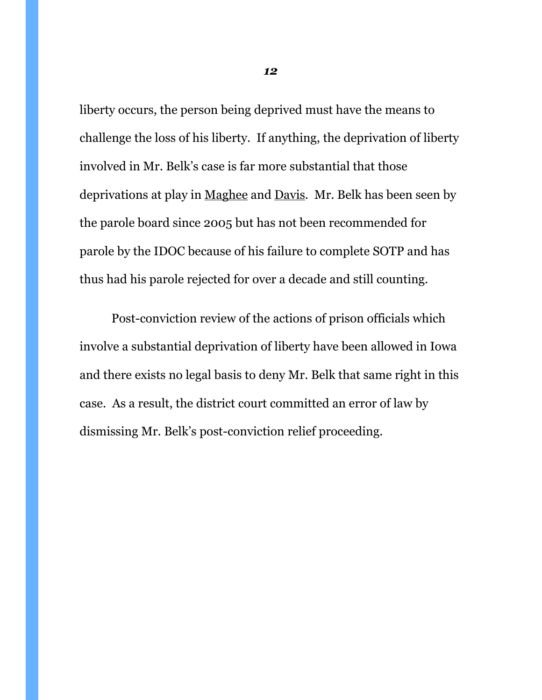liberty occurs, the person being deprived must have the means to challenge the loss of his liberty. If anything, the deprivation of liberty involved in Mr. Belk's case is far more substantial that those deprivations at play in Maghee and Davis. Mr. Belk has been seen by the parole board since 2005 but has not been recommended for parole by the IDOC because of his failure to complete SOTP and has thus had his parole rejected for over a decade and still counting.

 Post-conviction review of the actions of prison officials which involve a substantial deprivation of liberty have been allowed in Iowa and there exists no legal basis to deny Mr. Belk that same right in this case. As a result, the district court committed an error of law by dismissing Mr. Belk's post-conviction relief proceeding.

*12*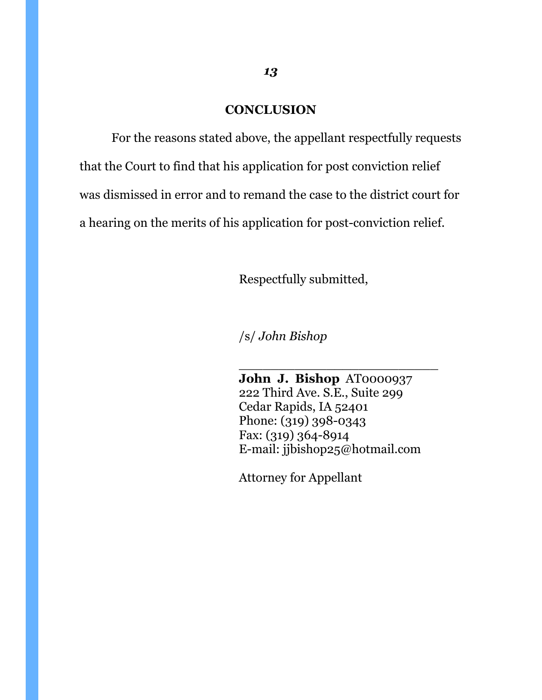## **CONCLUSION**

 For the reasons stated above, the appellant respectfully requests that the Court to find that his application for post conviction relief was dismissed in error and to remand the case to the district court for a hearing on the merits of his application for post-conviction relief.

Respectfully submitted,

/s/ *John Bishop* 

 $\frac{1}{\sqrt{2}}$  , and the contract of the contract of the contract of the contract of the contract of the contract of the contract of the contract of the contract of the contract of the contract of the contract of the contra

 **John J. Bishop** AT0000937 222 Third Ave. S.E., Suite 299 Cedar Rapids, IA 52401 Phone: (319) 398-0343 Fax: (319) 364-8914 E-mail: jjbishop25@hotmail.com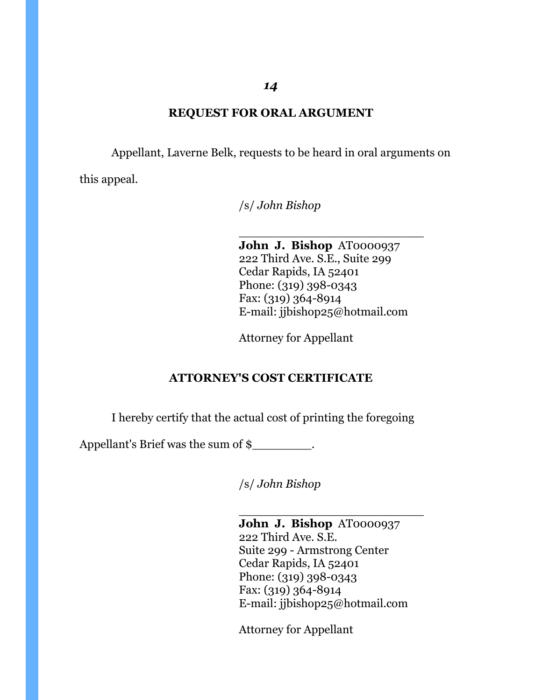# **REQUEST FOR ORAL ARGUMENT**

Appellant, Laverne Belk, requests to be heard in oral arguments on

this appeal.

/s/ *John Bishop* 

 $\frac{1}{\sqrt{2}}$  ,  $\frac{1}{\sqrt{2}}$  ,  $\frac{1}{\sqrt{2}}$  ,  $\frac{1}{\sqrt{2}}$  ,  $\frac{1}{\sqrt{2}}$  ,  $\frac{1}{\sqrt{2}}$  ,  $\frac{1}{\sqrt{2}}$  ,  $\frac{1}{\sqrt{2}}$  ,  $\frac{1}{\sqrt{2}}$  ,  $\frac{1}{\sqrt{2}}$  ,  $\frac{1}{\sqrt{2}}$  ,  $\frac{1}{\sqrt{2}}$  ,  $\frac{1}{\sqrt{2}}$  ,  $\frac{1}{\sqrt{2}}$  ,  $\frac{1}{\sqrt{2}}$  **John J. Bishop** AT0000937 222 Third Ave. S.E., Suite 299 Cedar Rapids, IA 52401 Phone: (319) 398-0343 Fax: (319) 364-8914 E-mail: jjbishop25@hotmail.com

Attorney for Appellant

## **ATTORNEY'S COST CERTIFICATE**

I hereby certify that the actual cost of printing the foregoing

Appellant's Brief was the sum of \$\_\_\_\_\_\_\_\_.

/s/ *John Bishop* 

 $\frac{1}{\sqrt{2}}$  , which is a set of the set of the set of the set of the set of the set of the set of the set of the set of the set of the set of the set of the set of the set of the set of the set of the set of the set of t **John J. Bishop** AT0000937 222 Third Ave. S.E. Suite 299 - Armstrong Center Cedar Rapids, IA 52401 Phone: (319) 398-0343 Fax: (319) 364-8914 E-mail: jjbishop25@hotmail.com